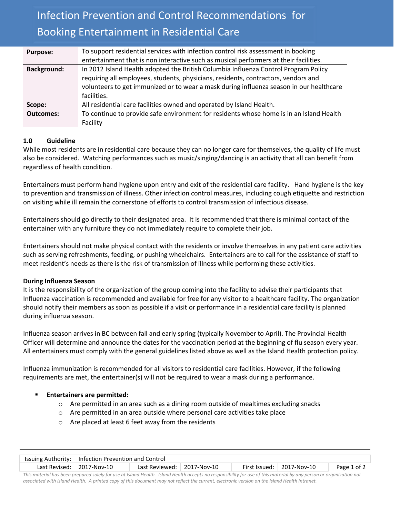# Infection Prevention and Control Recommendations for Booking Entertainment in Residential Care

| <b>Purpose:</b>    | To support residential services with infection control risk assessment in booking       |
|--------------------|-----------------------------------------------------------------------------------------|
|                    | entertainment that is non interactive such as musical performers at their facilities.   |
| <b>Background:</b> | In 2012 Island Health adopted the British Columbia Influenza Control Program Policy     |
|                    | requiring all employees, students, physicians, residents, contractors, vendors and      |
|                    | volunteers to get immunized or to wear a mask during influenza season in our healthcare |
|                    | facilities.                                                                             |
| Scope:             | All residential care facilities owned and operated by Island Health.                    |
| <b>Outcomes:</b>   | To continue to provide safe environment for residents whose home is in an Island Health |
|                    | Facility                                                                                |

# **1.0 Guideline**

While most residents are in residential care because they can no longer care for themselves, the quality of life must also be considered. Watching performances such as music/singing/dancing is an activity that all can benefit from regardless of health condition.

Entertainers must perform hand hygiene upon entry and exit of the residential care facility. Hand hygiene is the key to prevention and transmission of illness. Other infection control measures, including cough etiquette and restriction on visiting while ill remain the cornerstone of efforts to control transmission of infectious disease.

Entertainers should go directly to their designated area. It is recommended that there is minimal contact of the entertainer with any furniture they do not immediately require to complete their job.

Entertainers should not make physical contact with the residents or involve themselves in any patient care activities such as serving refreshments, feeding, or pushing wheelchairs. Entertainers are to call for the assistance of staff to meet resident's needs as there is the risk of transmission of illness while performing these activities.

## **During Influenza Season**

It is the responsibility of the organization of the group coming into the facility to advise their participants that Influenza vaccination is recommended and available for free for any visitor to a healthcare facility. The organization should notify their members as soon as possible if a visit or performance in a residential care facility is planned during influenza season.

Influenza season arrives in BC between fall and early spring (typically November to April). The Provincial Health Officer will determine and announce the dates for the vaccination period at the beginning of flu season every year. All entertainers must comply with the general guidelines listed above as well as the Island Health protection policy.

Influenza immunization is recommended for all visitors to residential care facilities. However, if the following requirements are met, the entertainer(s) will not be required to wear a mask during a performance.

## **Entertainers are permitted:**

- $\circ$  Are permitted in an area such as a dining room outside of mealtimes excluding snacks
- o Are permitted in an area outside where personal care activities take place
- o Are placed at least 6 feet away from the residents

|                                                                                                                                                                                                                               | Issuing Authority:   Infection Prevention and Control |                            |  |  |                                   |             |  |  |
|-------------------------------------------------------------------------------------------------------------------------------------------------------------------------------------------------------------------------------|-------------------------------------------------------|----------------------------|--|--|-----------------------------------|-------------|--|--|
|                                                                                                                                                                                                                               | Last Revised: 2017-Nov-10                             | Last Reviewed: 2017-Nov-10 |  |  | First Issued: $\vert$ 2017-Nov-10 | Page 1 of 2 |  |  |
| This moderate has been accounted exist. Common at Island Health Health moderate no constraining and this moderate in an exception and moderate moderate in the second second second second second second second second second |                                                       |                            |  |  |                                   |             |  |  |

*This material has been prepared solely for use at Island Health. Island Health accepts no responsibility for use of this material by any person or organization not associated with Island Health. A printed copy of this document may not reflect the current, electronic version on the Island Health Intranet.*